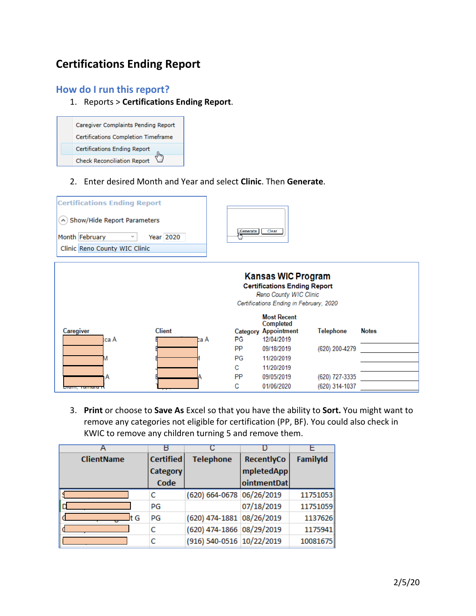# **Certifications Ending Report**

# **How do I run this report?**

1. Reports > **Certifications Ending Report**.



2. Enter desired Month and Year and select **Clinic**. Then **Generate**.



3. **Print** or choose to **Save As** Excel so that you have the ability to **Sort.** You might want to remove any categories not eligible for certification (PP, BF). You could also check in KWIC to remove any children turning 5 and remove them.

| <b>ClientName</b> | <b>Certified</b> | <b>Telephone</b>          | RecentlyCo  | FamilyId |
|-------------------|------------------|---------------------------|-------------|----------|
|                   | Category         |                           | mpletedApp  |          |
|                   | Code             |                           | ointmentDat |          |
|                   | с                | (620) 664-0678 06/26/2019 |             | 11751053 |
|                   | PG               |                           | 07/18/2019  | 11751059 |
| t G               | PG               | (620) 474-1881 08/26/2019 |             | 1137626  |
|                   | c                | (620) 474-1866 08/29/2019 |             | 1175941  |
|                   |                  | (916) 540-0516 10/22/2019 |             | 10081675 |